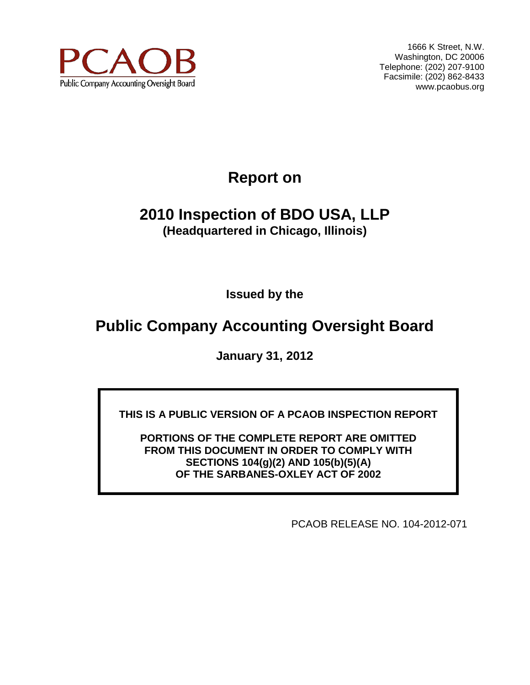

1666 K Street, N.W. Washington, DC 20006 Telephone: (202) 207-9100 Facsimile: (202) 862-8433 www.pcaobus.org

# **Report on**

# **2010 Inspection of BDO USA, LLP (Headquartered in Chicago, Illinois)**

**Issued by the** 

# **Public Company Accounting Oversight Board**

**January 31, 2012**

**THIS IS A PUBLIC VERSION OF A PCAOB INSPECTION REPORT**

**PORTIONS OF THE COMPLETE REPORT ARE OMITTED FROM THIS DOCUMENT IN ORDER TO COMPLY WITH SECTIONS 104(g)(2) AND 105(b)(5)(A) OF THE SARBANES-OXLEY ACT OF 2002**

PCAOB RELEASE NO. 104-2012-071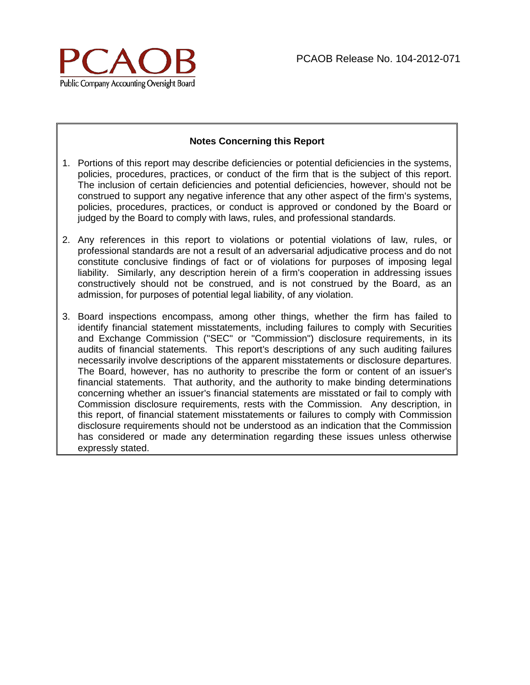

#### **Notes Concerning this Report**

- 1. Portions of this report may describe deficiencies or potential deficiencies in the systems, policies, procedures, practices, or conduct of the firm that is the subject of this report. The inclusion of certain deficiencies and potential deficiencies, however, should not be construed to support any negative inference that any other aspect of the firm's systems, policies, procedures, practices, or conduct is approved or condoned by the Board or judged by the Board to comply with laws, rules, and professional standards.
- 2. Any references in this report to violations or potential violations of law, rules, or professional standards are not a result of an adversarial adjudicative process and do not constitute conclusive findings of fact or of violations for purposes of imposing legal liability. Similarly, any description herein of a firm's cooperation in addressing issues constructively should not be construed, and is not construed by the Board, as an admission, for purposes of potential legal liability, of any violation.
- 3. Board inspections encompass, among other things, whether the firm has failed to identify financial statement misstatements, including failures to comply with Securities and Exchange Commission ("SEC" or "Commission") disclosure requirements, in its audits of financial statements. This report's descriptions of any such auditing failures necessarily involve descriptions of the apparent misstatements or disclosure departures. The Board, however, has no authority to prescribe the form or content of an issuer's financial statements. That authority, and the authority to make binding determinations concerning whether an issuer's financial statements are misstated or fail to comply with Commission disclosure requirements, rests with the Commission. Any description, in this report, of financial statement misstatements or failures to comply with Commission disclosure requirements should not be understood as an indication that the Commission has considered or made any determination regarding these issues unless otherwise expressly stated.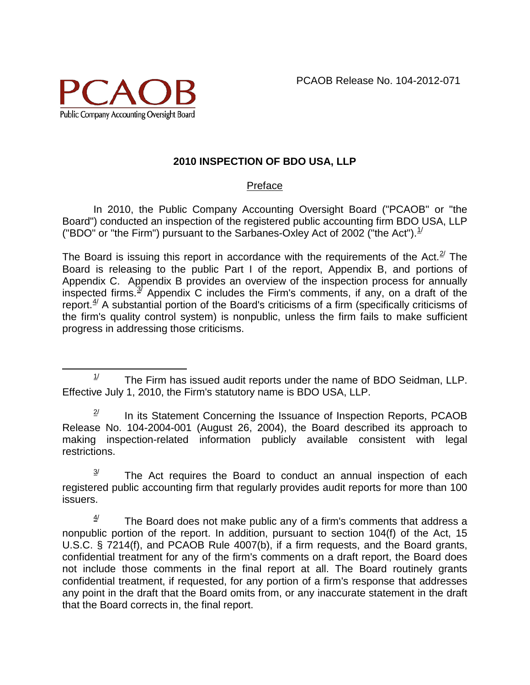

# **2010 INSPECTION OF BDO USA, LLP**

## Preface

In 2010, the Public Company Accounting Oversight Board ("PCAOB" or "the Board") conducted an inspection of the registered public accounting firm BDO USA, LLP ("BDO" or "the Firm") pursuant to the Sarbanes-Oxley Act of 2002 ("the Act"). $^{1/2}$  $^{1/2}$  $^{1/2}$ 

The Board is issuing this report in accordance with the requirements of the Act. $^{2}$  The Board is releasing to the public Part I of the report, Appendix B, and portions of Appendix C. Appendix B provides an overview of the inspection process for annually inspected firms.<sup>3</sup> Appendix C includes the Firm's comments, if any, on a draft of the report. $4/4$  $4/4$  A substantial portion of the Board's criticisms of a firm (specifically criticisms of the firm's quality control system) is nonpublic, unless the firm fails to make sufficient progress in addressing those criticisms.

<span id="page-2-0"></span> $1/$  The Firm has issued audit reports under the name of BDO Seidman, LLP. Effective July 1, 2010, the Firm's statutory name is BDO USA, LLP.

<span id="page-2-1"></span> $2^{\prime}$  In its Statement Concerning the Issuance of Inspection Reports, PCAOB Release No. 104-2004-001 (August 26, 2004), the Board described its approach to making inspection-related information publicly available consistent with legal restrictions.

<span id="page-2-2"></span> $3$ <sup> $\frac{3}{4}$  The Act requires the Board to conduct an annual inspection of each</sup> registered public accounting firm that regularly provides audit reports for more than 100 issuers.

<span id="page-2-3"></span> $4/$  The Board does not make public any of a firm's comments that address a nonpublic portion of the report. In addition, pursuant to section 104(f) of the Act, 15 U.S.C. § 7214(f), and PCAOB Rule 4007(b), if a firm requests, and the Board grants, confidential treatment for any of the firm's comments on a draft report, the Board does not include those comments in the final report at all. The Board routinely grants confidential treatment, if requested, for any portion of a firm's response that addresses any point in the draft that the Board omits from, or any inaccurate statement in the draft that the Board corrects in, the final report.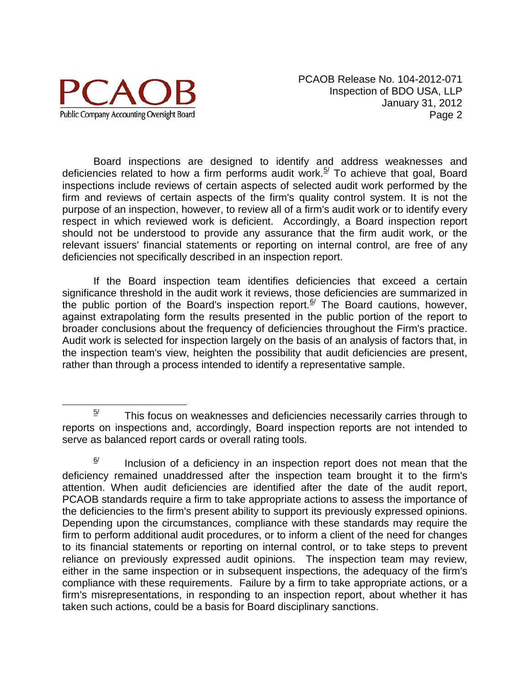

PCAOB Release No. 104-2012-071 Inspection of BDO USA, LLP January 31, 2012 Page 2

Board inspections are designed to identify and address weaknesses and deficiencies related to how a firm performs audit work.<sup>[5/](#page-3-0)</sup> To achieve that goal, Board inspections include reviews of certain aspects of selected audit work performed by the firm and reviews of certain aspects of the firm's quality control system. It is not the purpose of an inspection, however, to review all of a firm's audit work or to identify every respect in which reviewed work is deficient. Accordingly, a Board inspection report should not be understood to provide any assurance that the firm audit work, or the relevant issuers' financial statements or reporting on internal control, are free of any deficiencies not specifically described in an inspection report.

If the Board inspection team identifies deficiencies that exceed a certain significance threshold in the audit work it reviews, those deficiencies are summarized in the public portion of the Board's inspection report.<sup> $6/$ </sup> The Board cautions, however, against extrapolating form the results presented in the public portion of the report to broader conclusions about the frequency of deficiencies throughout the Firm's practice. Audit work is selected for inspection largely on the basis of an analysis of factors that, in the inspection team's view, heighten the possibility that audit deficiencies are present, rather than through a process intended to identify a representative sample.

<span id="page-3-0"></span> $5/$  This focus on weaknesses and deficiencies necessarily carries through to reports on inspections and, accordingly, Board inspection reports are not intended to serve as balanced report cards or overall rating tools.

<span id="page-3-1"></span> $\frac{6}{1}$  Inclusion of a deficiency in an inspection report does not mean that the deficiency remained unaddressed after the inspection team brought it to the firm's attention. When audit deficiencies are identified after the date of the audit report, PCAOB standards require a firm to take appropriate actions to assess the importance of the deficiencies to the firm's present ability to support its previously expressed opinions. Depending upon the circumstances, compliance with these standards may require the firm to perform additional audit procedures, or to inform a client of the need for changes to its financial statements or reporting on internal control, or to take steps to prevent reliance on previously expressed audit opinions. The inspection team may review, either in the same inspection or in subsequent inspections, the adequacy of the firm's compliance with these requirements. Failure by a firm to take appropriate actions, or a firm's misrepresentations, in responding to an inspection report, about whether it has taken such actions, could be a basis for Board disciplinary sanctions.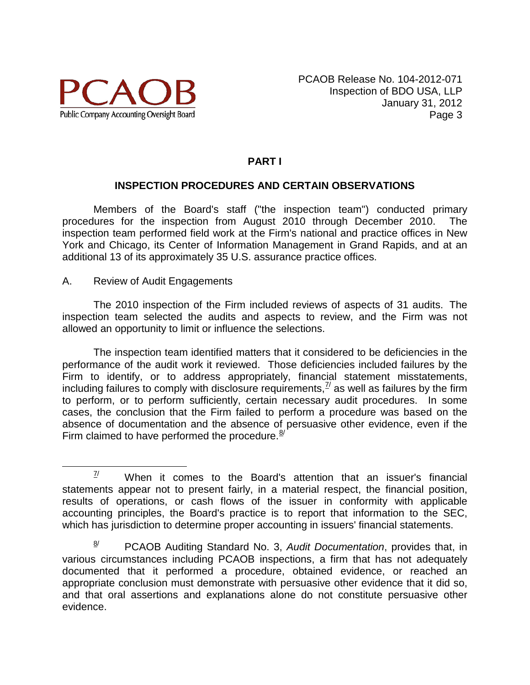

# **PART I**

#### **INSPECTION PROCEDURES AND CERTAIN OBSERVATIONS**

Members of the Board's staff ("the inspection team") conducted primary procedures for the inspection from August 2010 through December 2010. The inspection team performed field work at the Firm's national and practice offices in New York and Chicago, its Center of Information Management in Grand Rapids, and at an additional 13 of its approximately 35 U.S. assurance practice offices.

A. Review of Audit Engagements

The 2010 inspection of the Firm included reviews of aspects of 31 audits. The inspection team selected the audits and aspects to review, and the Firm was not allowed an opportunity to limit or influence the selections.

The inspection team identified matters that it considered to be deficiencies in the performance of the audit work it reviewed. Those deficiencies included failures by the Firm to identify, or to address appropriately, financial statement misstatements, including failures to comply with disclosure requirements, $^{I\!I}$  as well as failures by the firm to perform, or to perform sufficiently, certain necessary audit procedures. In some cases, the conclusion that the Firm failed to perform a procedure was based on the absence of documentation and the absence of persuasive other evidence, even if the Firm claimed to have performed the procedure. $8/$  $8/$ 

<span id="page-4-0"></span> $\frac{7}{10}$  When it comes to the Board's attention that an issuer's financial statements appear not to present fairly, in a material respect, the financial position, results of operations, or cash flows of the issuer in conformity with applicable accounting principles, the Board's practice is to report that information to the SEC, which has jurisdiction to determine proper accounting in issuers' financial statements.

<span id="page-4-1"></span><sup>8/</sup> PCAOB Auditing Standard No. 3, *Audit Documentation*, provides that, in various circumstances including PCAOB inspections, a firm that has not adequately documented that it performed a procedure, obtained evidence, or reached an appropriate conclusion must demonstrate with persuasive other evidence that it did so, and that oral assertions and explanations alone do not constitute persuasive other evidence.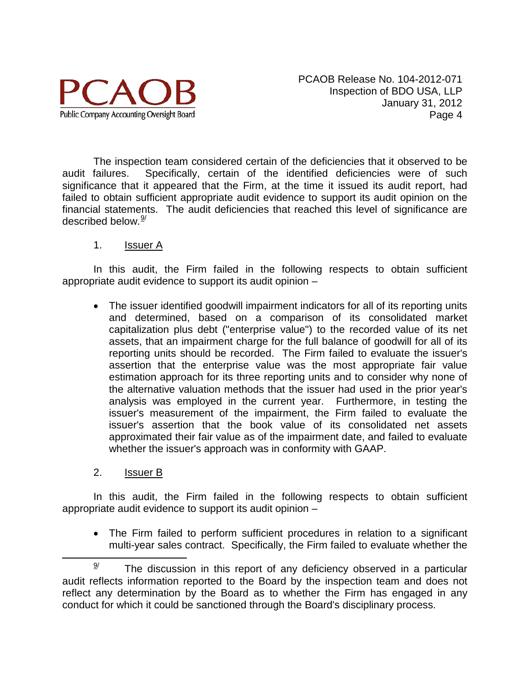

PCAOB Release No. 104-2012-071 Inspection of BDO USA, LLP January 31, 2012 Page 4

The inspection team considered certain of the deficiencies that it observed to be audit failures. Specifically, certain of the identified deficiencies were of such significance that it appeared that the Firm, at the time it issued its audit report, had failed to obtain sufficient appropriate audit evidence to support its audit opinion on the financial statements. The audit deficiencies that reached this level of significance are described below. $^{\underline{9}^{\prime}}$  $^{\underline{9}^{\prime}}$  $^{\underline{9}^{\prime}}$ 

#### 1. Issuer A

In this audit, the Firm failed in the following respects to obtain sufficient appropriate audit evidence to support its audit opinion –

- The issuer identified goodwill impairment indicators for all of its reporting units and determined, based on a comparison of its consolidated market capitalization plus debt ("enterprise value") to the recorded value of its net assets, that an impairment charge for the full balance of goodwill for all of its reporting units should be recorded. The Firm failed to evaluate the issuer's assertion that the enterprise value was the most appropriate fair value estimation approach for its three reporting units and to consider why none of the alternative valuation methods that the issuer had used in the prior year's analysis was employed in the current year. Furthermore, in testing the issuer's measurement of the impairment, the Firm failed to evaluate the issuer's assertion that the book value of its consolidated net assets approximated their fair value as of the impairment date, and failed to evaluate whether the issuer's approach was in conformity with GAAP.
- 2. Issuer B

In this audit, the Firm failed in the following respects to obtain sufficient appropriate audit evidence to support its audit opinion –

• The Firm failed to perform sufficient procedures in relation to a significant multi-year sales contract. Specifically, the Firm failed to evaluate whether the

<span id="page-5-0"></span> $\frac{9}{2}$  The discussion in this report of any deficiency observed in a particular audit reflects information reported to the Board by the inspection team and does not reflect any determination by the Board as to whether the Firm has engaged in any conduct for which it could be sanctioned through the Board's disciplinary process.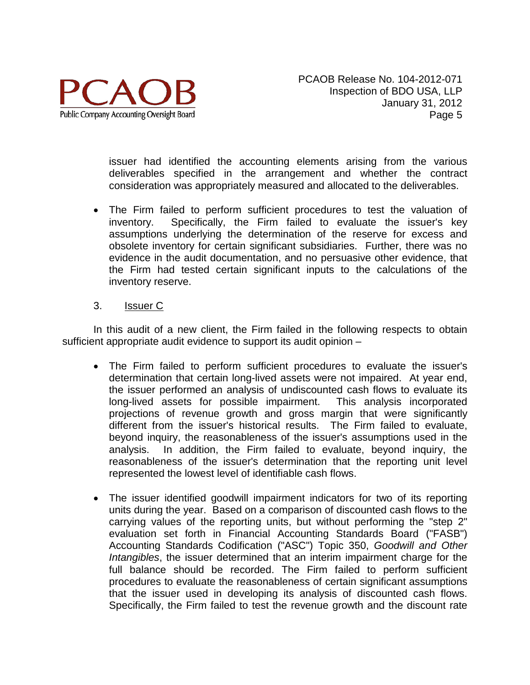

issuer had identified the accounting elements arising from the various deliverables specified in the arrangement and whether the contract consideration was appropriately measured and allocated to the deliverables.

• The Firm failed to perform sufficient procedures to test the valuation of inventory. Specifically, the Firm failed to evaluate the issuer's key assumptions underlying the determination of the reserve for excess and obsolete inventory for certain significant subsidiaries. Further, there was no evidence in the audit documentation, and no persuasive other evidence, that the Firm had tested certain significant inputs to the calculations of the inventory reserve.

## 3. Issuer C

In this audit of a new client, the Firm failed in the following respects to obtain sufficient appropriate audit evidence to support its audit opinion –

- The Firm failed to perform sufficient procedures to evaluate the issuer's determination that certain long-lived assets were not impaired. At year end, the issuer performed an analysis of undiscounted cash flows to evaluate its long-lived assets for possible impairment. This analysis incorporated projections of revenue growth and gross margin that were significantly different from the issuer's historical results. The Firm failed to evaluate, beyond inquiry, the reasonableness of the issuer's assumptions used in the analysis. In addition, the Firm failed to evaluate, beyond inquiry, the reasonableness of the issuer's determination that the reporting unit level represented the lowest level of identifiable cash flows.
- The issuer identified goodwill impairment indicators for two of its reporting units during the year. Based on a comparison of discounted cash flows to the carrying values of the reporting units, but without performing the "step 2" evaluation set forth in Financial Accounting Standards Board ("FASB") Accounting Standards Codification ("ASC") Topic 350, *Goodwill and Other Intangibles*, the issuer determined that an interim impairment charge for the full balance should be recorded. The Firm failed to perform sufficient procedures to evaluate the reasonableness of certain significant assumptions that the issuer used in developing its analysis of discounted cash flows. Specifically, the Firm failed to test the revenue growth and the discount rate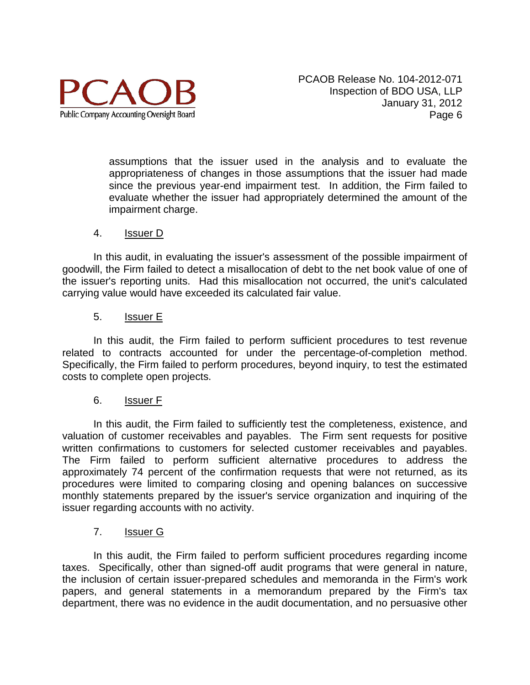

assumptions that the issuer used in the analysis and to evaluate the appropriateness of changes in those assumptions that the issuer had made since the previous year-end impairment test. In addition, the Firm failed to evaluate whether the issuer had appropriately determined the amount of the impairment charge.

#### 4. Issuer D

In this audit, in evaluating the issuer's assessment of the possible impairment of goodwill, the Firm failed to detect a misallocation of debt to the net book value of one of the issuer's reporting units. Had this misallocation not occurred, the unit's calculated carrying value would have exceeded its calculated fair value.

#### 5. Issuer E

In this audit, the Firm failed to perform sufficient procedures to test revenue related to contracts accounted for under the percentage-of-completion method. Specifically, the Firm failed to perform procedures, beyond inquiry, to test the estimated costs to complete open projects.

#### 6. Issuer F

In this audit, the Firm failed to sufficiently test the completeness, existence, and valuation of customer receivables and payables. The Firm sent requests for positive written confirmations to customers for selected customer receivables and payables. The Firm failed to perform sufficient alternative procedures to address the approximately 74 percent of the confirmation requests that were not returned, as its procedures were limited to comparing closing and opening balances on successive monthly statements prepared by the issuer's service organization and inquiring of the issuer regarding accounts with no activity.

#### 7. Issuer G

In this audit, the Firm failed to perform sufficient procedures regarding income taxes. Specifically, other than signed-off audit programs that were general in nature, the inclusion of certain issuer-prepared schedules and memoranda in the Firm's work papers, and general statements in a memorandum prepared by the Firm's tax department, there was no evidence in the audit documentation, and no persuasive other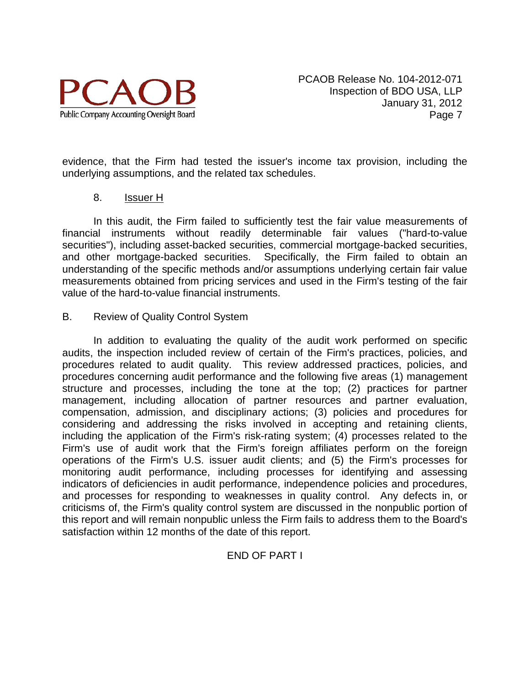

evidence, that the Firm had tested the issuer's income tax provision, including the underlying assumptions, and the related tax schedules.

#### 8. Issuer H

In this audit, the Firm failed to sufficiently test the fair value measurements of financial instruments without readily determinable fair values ("hard-to-value securities"), including asset-backed securities, commercial mortgage-backed securities, and other mortgage-backed securities. Specifically, the Firm failed to obtain an understanding of the specific methods and/or assumptions underlying certain fair value measurements obtained from pricing services and used in the Firm's testing of the fair value of the hard-to-value financial instruments.

#### B. Review of Quality Control System

In addition to evaluating the quality of the audit work performed on specific audits, the inspection included review of certain of the Firm's practices, policies, and procedures related to audit quality. This review addressed practices, policies, and procedures concerning audit performance and the following five areas (1) management structure and processes, including the tone at the top; (2) practices for partner management, including allocation of partner resources and partner evaluation, compensation, admission, and disciplinary actions; (3) policies and procedures for considering and addressing the risks involved in accepting and retaining clients, including the application of the Firm's risk-rating system; (4) processes related to the Firm's use of audit work that the Firm's foreign affiliates perform on the foreign operations of the Firm's U.S. issuer audit clients; and (5) the Firm's processes for monitoring audit performance, including processes for identifying and assessing indicators of deficiencies in audit performance, independence policies and procedures, and processes for responding to weaknesses in quality control. Any defects in, or criticisms of, the Firm's quality control system are discussed in the nonpublic portion of this report and will remain nonpublic unless the Firm fails to address them to the Board's satisfaction within 12 months of the date of this report.

# END OF PART I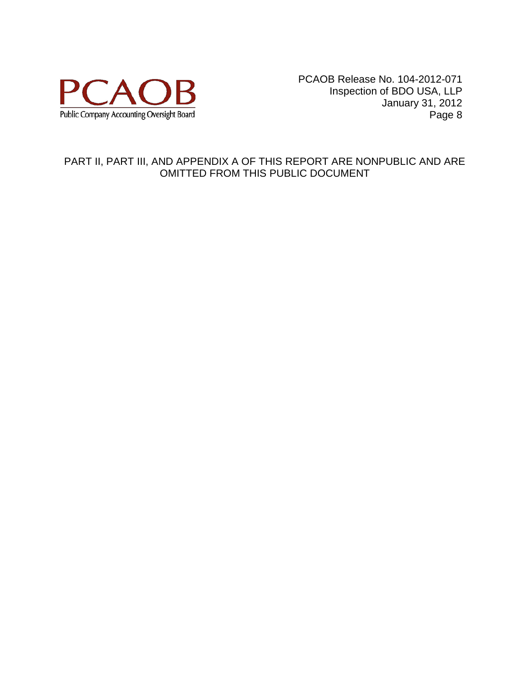

PCAOB Release No. 104-2012-071 Inspection of BDO USA, LLP January 31, 2012 Page 8

#### PART II, PART III, AND APPENDIX A OF THIS REPORT ARE NONPUBLIC AND ARE OMITTED FROM THIS PUBLIC DOCUMENT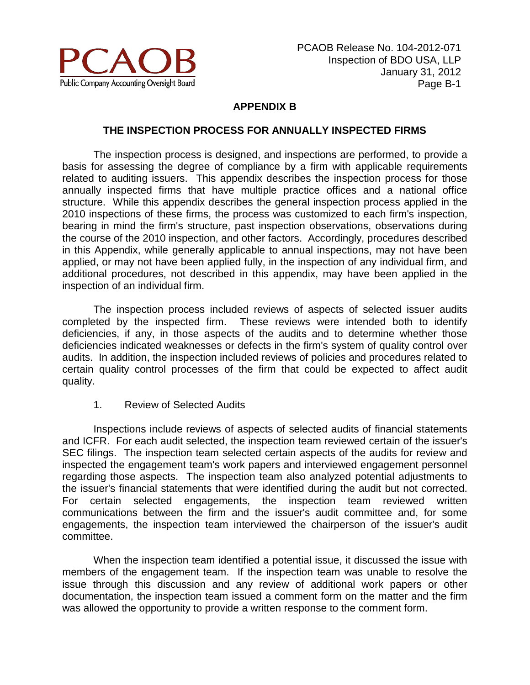

## **APPENDIX B**

#### **THE INSPECTION PROCESS FOR ANNUALLY INSPECTED FIRMS**

The inspection process is designed, and inspections are performed, to provide a basis for assessing the degree of compliance by a firm with applicable requirements related to auditing issuers. This appendix describes the inspection process for those annually inspected firms that have multiple practice offices and a national office structure. While this appendix describes the general inspection process applied in the 2010 inspections of these firms, the process was customized to each firm's inspection, bearing in mind the firm's structure, past inspection observations, observations during the course of the 2010 inspection, and other factors. Accordingly, procedures described in this Appendix, while generally applicable to annual inspections, may not have been applied, or may not have been applied fully, in the inspection of any individual firm, and additional procedures, not described in this appendix, may have been applied in the inspection of an individual firm.

The inspection process included reviews of aspects of selected issuer audits completed by the inspected firm. These reviews were intended both to identify deficiencies, if any, in those aspects of the audits and to determine whether those deficiencies indicated weaknesses or defects in the firm's system of quality control over audits. In addition, the inspection included reviews of policies and procedures related to certain quality control processes of the firm that could be expected to affect audit quality.

1. Review of Selected Audits

Inspections include reviews of aspects of selected audits of financial statements and ICFR. For each audit selected, the inspection team reviewed certain of the issuer's SEC filings. The inspection team selected certain aspects of the audits for review and inspected the engagement team's work papers and interviewed engagement personnel regarding those aspects. The inspection team also analyzed potential adjustments to the issuer's financial statements that were identified during the audit but not corrected. For certain selected engagements, the inspection team reviewed written communications between the firm and the issuer's audit committee and, for some engagements, the inspection team interviewed the chairperson of the issuer's audit committee.

When the inspection team identified a potential issue, it discussed the issue with members of the engagement team. If the inspection team was unable to resolve the issue through this discussion and any review of additional work papers or other documentation, the inspection team issued a comment form on the matter and the firm was allowed the opportunity to provide a written response to the comment form.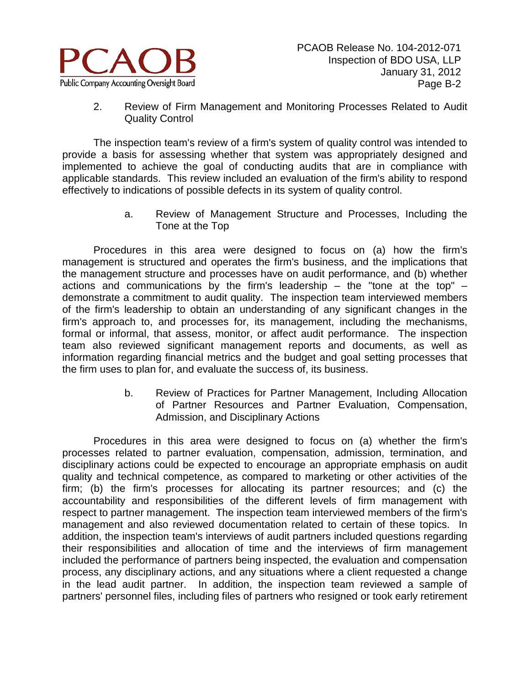

2. Review of Firm Management and Monitoring Processes Related to Audit Quality Control

The inspection team's review of a firm's system of quality control was intended to provide a basis for assessing whether that system was appropriately designed and implemented to achieve the goal of conducting audits that are in compliance with applicable standards. This review included an evaluation of the firm's ability to respond effectively to indications of possible defects in its system of quality control.

> a. Review of Management Structure and Processes, Including the Tone at the Top

Procedures in this area were designed to focus on (a) how the firm's management is structured and operates the firm's business, and the implications that the management structure and processes have on audit performance, and (b) whether actions and communications by the firm's leadership – the "tone at the top" – demonstrate a commitment to audit quality. The inspection team interviewed members of the firm's leadership to obtain an understanding of any significant changes in the firm's approach to, and processes for, its management, including the mechanisms, formal or informal, that assess, monitor, or affect audit performance. The inspection team also reviewed significant management reports and documents, as well as information regarding financial metrics and the budget and goal setting processes that the firm uses to plan for, and evaluate the success of, its business.

> b. Review of Practices for Partner Management, Including Allocation of Partner Resources and Partner Evaluation, Compensation, Admission, and Disciplinary Actions

Procedures in this area were designed to focus on (a) whether the firm's processes related to partner evaluation, compensation, admission, termination, and disciplinary actions could be expected to encourage an appropriate emphasis on audit quality and technical competence, as compared to marketing or other activities of the firm; (b) the firm's processes for allocating its partner resources; and (c) the accountability and responsibilities of the different levels of firm management with respect to partner management. The inspection team interviewed members of the firm's management and also reviewed documentation related to certain of these topics. In addition, the inspection team's interviews of audit partners included questions regarding their responsibilities and allocation of time and the interviews of firm management included the performance of partners being inspected, the evaluation and compensation process, any disciplinary actions, and any situations where a client requested a change in the lead audit partner. In addition, the inspection team reviewed a sample of partners' personnel files, including files of partners who resigned or took early retirement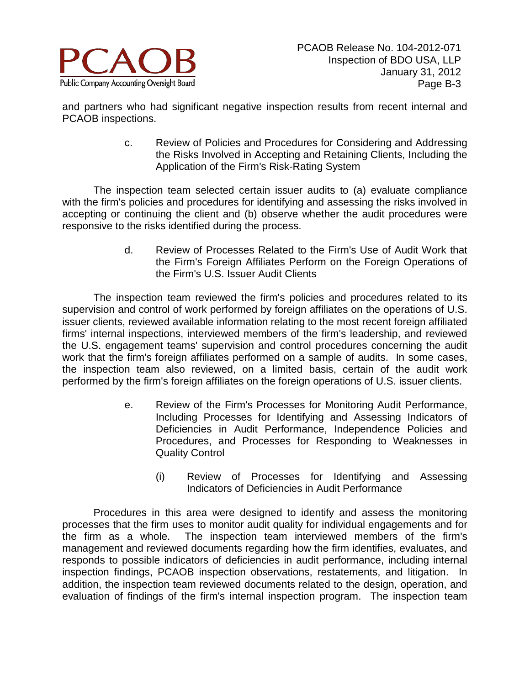

and partners who had significant negative inspection results from recent internal and PCAOB inspections.

> c. Review of Policies and Procedures for Considering and Addressing the Risks Involved in Accepting and Retaining Clients, Including the Application of the Firm's Risk-Rating System

The inspection team selected certain issuer audits to (a) evaluate compliance with the firm's policies and procedures for identifying and assessing the risks involved in accepting or continuing the client and (b) observe whether the audit procedures were responsive to the risks identified during the process.

> d. Review of Processes Related to the Firm's Use of Audit Work that the Firm's Foreign Affiliates Perform on the Foreign Operations of the Firm's U.S. Issuer Audit Clients

The inspection team reviewed the firm's policies and procedures related to its supervision and control of work performed by foreign affiliates on the operations of U.S. issuer clients, reviewed available information relating to the most recent foreign affiliated firms' internal inspections, interviewed members of the firm's leadership, and reviewed the U.S. engagement teams' supervision and control procedures concerning the audit work that the firm's foreign affiliates performed on a sample of audits. In some cases, the inspection team also reviewed, on a limited basis, certain of the audit work performed by the firm's foreign affiliates on the foreign operations of U.S. issuer clients.

- e. Review of the Firm's Processes for Monitoring Audit Performance, Including Processes for Identifying and Assessing Indicators of Deficiencies in Audit Performance, Independence Policies and Procedures, and Processes for Responding to Weaknesses in Quality Control
	- (i) Review of Processes for Identifying and Assessing Indicators of Deficiencies in Audit Performance

Procedures in this area were designed to identify and assess the monitoring processes that the firm uses to monitor audit quality for individual engagements and for the firm as a whole. The inspection team interviewed members of the firm's management and reviewed documents regarding how the firm identifies, evaluates, and responds to possible indicators of deficiencies in audit performance, including internal inspection findings, PCAOB inspection observations, restatements, and litigation. In addition, the inspection team reviewed documents related to the design, operation, and evaluation of findings of the firm's internal inspection program. The inspection team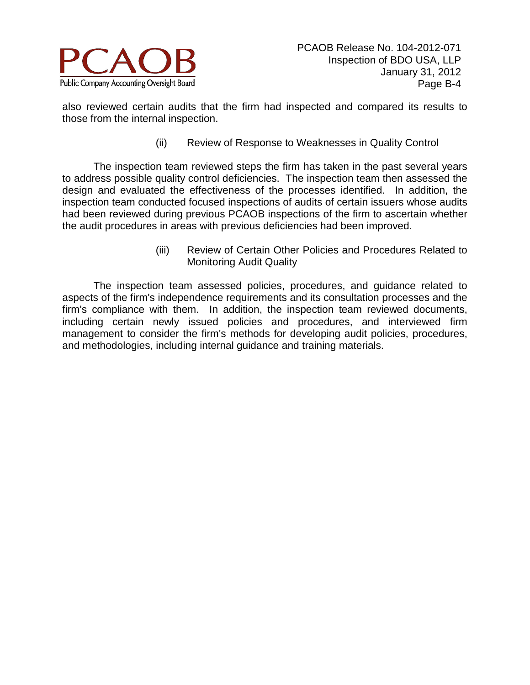

also reviewed certain audits that the firm had inspected and compared its results to those from the internal inspection.

(ii) Review of Response to Weaknesses in Quality Control

The inspection team reviewed steps the firm has taken in the past several years to address possible quality control deficiencies. The inspection team then assessed the design and evaluated the effectiveness of the processes identified. In addition, the inspection team conducted focused inspections of audits of certain issuers whose audits had been reviewed during previous PCAOB inspections of the firm to ascertain whether the audit procedures in areas with previous deficiencies had been improved.

> (iii) Review of Certain Other Policies and Procedures Related to Monitoring Audit Quality

The inspection team assessed policies, procedures, and guidance related to aspects of the firm's independence requirements and its consultation processes and the firm's compliance with them. In addition, the inspection team reviewed documents, including certain newly issued policies and procedures, and interviewed firm management to consider the firm's methods for developing audit policies, procedures, and methodologies, including internal guidance and training materials.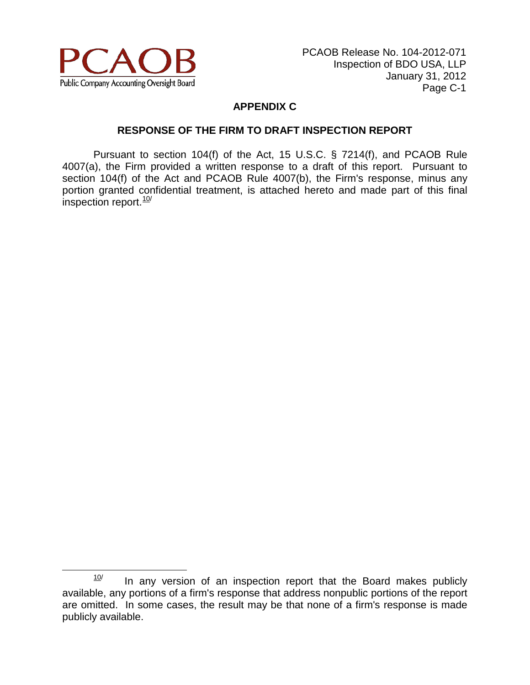

# **APPENDIX C**

#### **RESPONSE OF THE FIRM TO DRAFT INSPECTION REPORT**

Pursuant to section 104(f) of the Act, 15 U.S.C. § 7214(f), and PCAOB Rule 4007(a), the Firm provided a written response to a draft of this report. Pursuant to section 104(f) of the Act and PCAOB Rule 4007(b), the Firm's response, minus any portion granted confidential treatment, is attached hereto and made part of this final inspection report.<sup>[10](#page-14-0)/</sup>

<span id="page-14-0"></span> $10$  In any version of an inspection report that the Board makes publicly available, any portions of a firm's response that address nonpublic portions of the report are omitted. In some cases, the result may be that none of a firm's response is made publicly available.